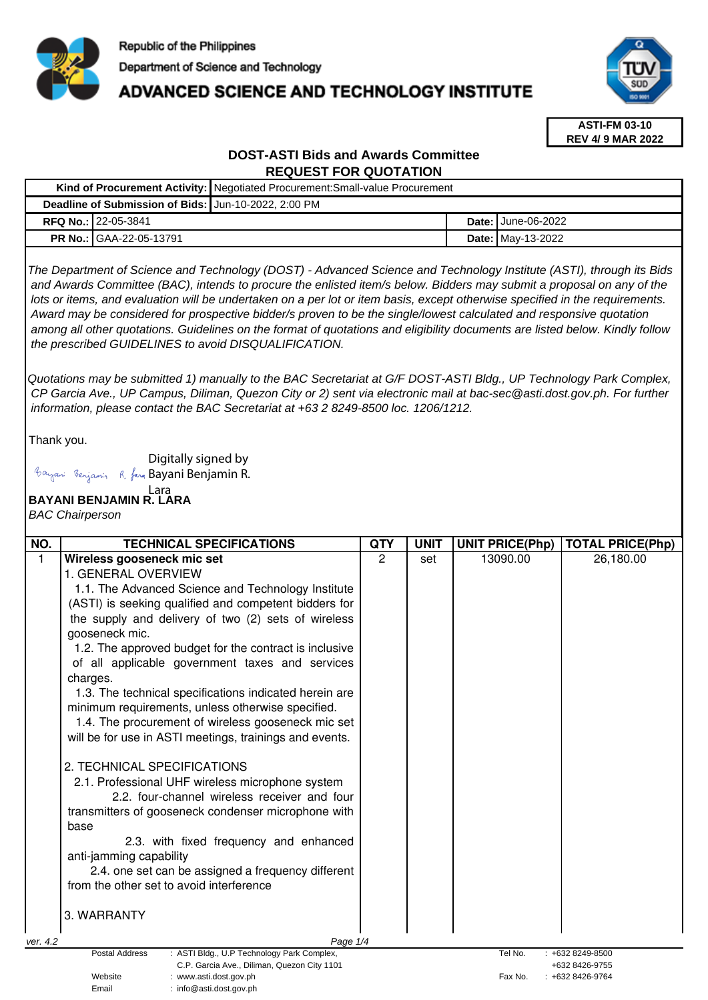

# **ADVANCED SCIENCE AND TECHNOLOGY INSTITUTE**



**ASTI-FM 03-10 REV 4/ 9 MAR 2022**

## **DOST-ASTI Bids and Awards Committee REQUEST FOR QUOTATION**

|                                                      |                                | Kind of Procurement Activity:   Negotiated Procurement: Small-value Procurement |  |                             |
|------------------------------------------------------|--------------------------------|---------------------------------------------------------------------------------|--|-----------------------------|
| Deadline of Submission of Bids: Jun-10-2022, 2:00 PM |                                |                                                                                 |  |                             |
|                                                      | <b>RFQ No.: 22-05-3841</b>     |                                                                                 |  | <b>Date: I</b> June-06-2022 |
|                                                      | <b>PR No.: GAA-22-05-13791</b> |                                                                                 |  | <b>Date: May-13-2022</b>    |

The Department of Science and Technology (DOST) - Advanced Science and Technology Institute (ASTI), through its Bids and Awards Committee (BAC), intends to procure the enlisted item/s below. Bidders may submit a proposal on any of the lots or items, and evaluation will be undertaken on a per lot or item basis, except otherwise specified in the requirements. Award may be considered for prospective bidder/s proven to be the single/lowest calculated and responsive quotation among all other quotations. Guidelines on the format of quotations and eligibility documents are listed below. Kindly follow the prescribed GUIDELINES to avoid DISQUALIFICATION.

Quotations may be submitted 1) manually to the BAC Secretariat at G/F DOST-ASTI Bldg., UP Technology Park Complex, CP Garcia Ave., UP Campus, Diliman, Quezon City or 2) sent via electronic mail at bac-sec@asti.dost.gov.ph. For further information, please contact the BAC Secretariat at +63 2 8249-8500 loc. 1206/1212.

Thank you.

Digitally signed by Bayani Benjamin R. fan Bayani Benjamin R.

Email : info@asti.dost.gov.ph

#### **BAYANI BENJAMIN R. LARA**  Lara

BAC Chairperson

| NO.          | <b>TECHNICAL SPECIFICATIONS</b>                                                                                                                                                                                                                                                                                                                                       | <b>QTY</b> | <b>UNIT</b> | <b>UNIT PRICE(Php)</b> | <b>TOTAL PRICE(Php)</b>          |
|--------------|-----------------------------------------------------------------------------------------------------------------------------------------------------------------------------------------------------------------------------------------------------------------------------------------------------------------------------------------------------------------------|------------|-------------|------------------------|----------------------------------|
| $\mathbf{1}$ | Wireless gooseneck mic set                                                                                                                                                                                                                                                                                                                                            | 2          | set         | 13090.00               | 26,180.00                        |
|              | 1. GENERAL OVERVIEW                                                                                                                                                                                                                                                                                                                                                   |            |             |                        |                                  |
|              | 1.1. The Advanced Science and Technology Institute                                                                                                                                                                                                                                                                                                                    |            |             |                        |                                  |
|              | (ASTI) is seeking qualified and competent bidders for                                                                                                                                                                                                                                                                                                                 |            |             |                        |                                  |
|              | the supply and delivery of two (2) sets of wireless                                                                                                                                                                                                                                                                                                                   |            |             |                        |                                  |
|              | gooseneck mic.                                                                                                                                                                                                                                                                                                                                                        |            |             |                        |                                  |
|              | 1.2. The approved budget for the contract is inclusive                                                                                                                                                                                                                                                                                                                |            |             |                        |                                  |
|              | of all applicable government taxes and services                                                                                                                                                                                                                                                                                                                       |            |             |                        |                                  |
|              | charges.                                                                                                                                                                                                                                                                                                                                                              |            |             |                        |                                  |
|              | 1.3. The technical specifications indicated herein are                                                                                                                                                                                                                                                                                                                |            |             |                        |                                  |
|              | minimum requirements, unless otherwise specified.                                                                                                                                                                                                                                                                                                                     |            |             |                        |                                  |
|              | 1.4. The procurement of wireless gooseneck mic set                                                                                                                                                                                                                                                                                                                    |            |             |                        |                                  |
|              | will be for use in ASTI meetings, trainings and events.                                                                                                                                                                                                                                                                                                               |            |             |                        |                                  |
|              | 2. TECHNICAL SPECIFICATIONS<br>2.1. Professional UHF wireless microphone system<br>2.2. four-channel wireless receiver and four<br>transmitters of gooseneck condenser microphone with<br>base<br>2.3. with fixed frequency and enhanced<br>anti-jamming capability<br>2.4. one set can be assigned a frequency different<br>from the other set to avoid interference |            |             |                        |                                  |
|              |                                                                                                                                                                                                                                                                                                                                                                       |            |             |                        |                                  |
|              | 3. WARRANTY                                                                                                                                                                                                                                                                                                                                                           |            |             |                        |                                  |
| ver. 4.2     | Page 1/4                                                                                                                                                                                                                                                                                                                                                              |            |             |                        |                                  |
|              | <b>Postal Address</b><br>: ASTI Bldg., U.P Technology Park Complex,                                                                                                                                                                                                                                                                                                   |            |             | Tel No.                | +632 8249-8500                   |
|              | C.P. Garcia Ave., Diliman, Quezon City 1101<br>Website<br>www.asti.dost.gov.ph                                                                                                                                                                                                                                                                                        |            |             | Fax No.                | +632 8426-9755<br>+632 8426-9764 |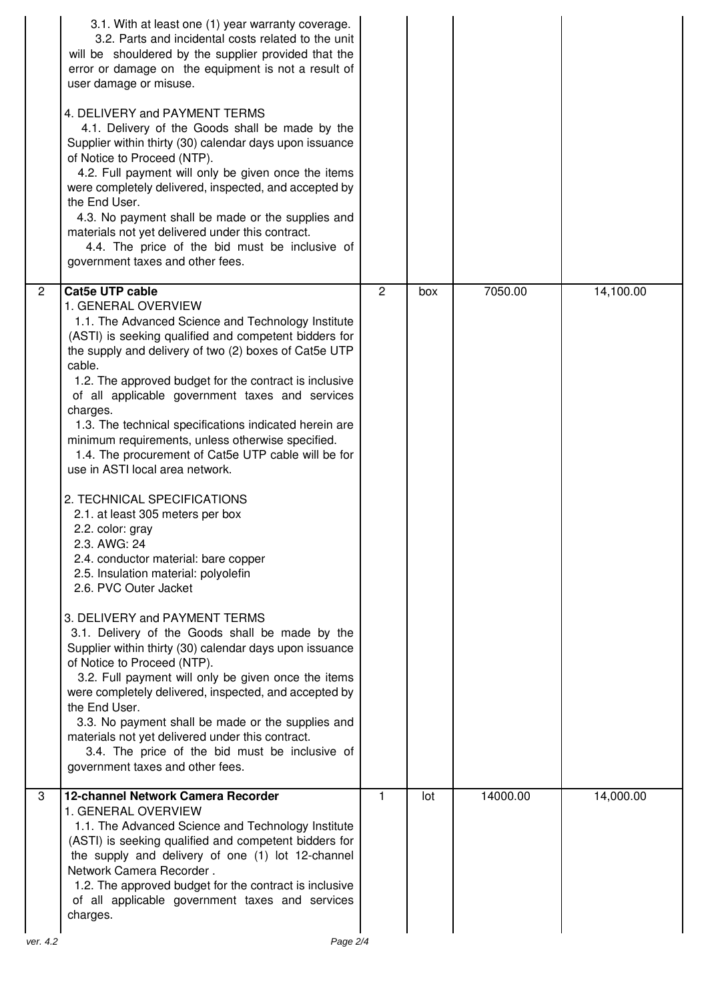|                | 3.1. With at least one (1) year warranty coverage.<br>3.2. Parts and incidental costs related to the unit<br>will be shouldered by the supplier provided that the<br>error or damage on the equipment is not a result of<br>user damage or misuse.<br>4. DELIVERY and PAYMENT TERMS<br>4.1. Delivery of the Goods shall be made by the<br>Supplier within thirty (30) calendar days upon issuance<br>of Notice to Proceed (NTP).<br>4.2. Full payment will only be given once the items<br>were completely delivered, inspected, and accepted by<br>the End User.<br>4.3. No payment shall be made or the supplies and<br>materials not yet delivered under this contract.<br>4.4. The price of the bid must be inclusive of<br>government taxes and other fees.                                                                                                                                                                                                                                                                                                                                                                                                                                                                                                                                |                |     |          |           |
|----------------|-------------------------------------------------------------------------------------------------------------------------------------------------------------------------------------------------------------------------------------------------------------------------------------------------------------------------------------------------------------------------------------------------------------------------------------------------------------------------------------------------------------------------------------------------------------------------------------------------------------------------------------------------------------------------------------------------------------------------------------------------------------------------------------------------------------------------------------------------------------------------------------------------------------------------------------------------------------------------------------------------------------------------------------------------------------------------------------------------------------------------------------------------------------------------------------------------------------------------------------------------------------------------------------------------|----------------|-----|----------|-----------|
| $\overline{2}$ | <b>Cat5e UTP cable</b><br>1. GENERAL OVERVIEW<br>1.1. The Advanced Science and Technology Institute<br>(ASTI) is seeking qualified and competent bidders for<br>the supply and delivery of two (2) boxes of Cat5e UTP<br>cable.<br>1.2. The approved budget for the contract is inclusive<br>of all applicable government taxes and services<br>charges.<br>1.3. The technical specifications indicated herein are<br>minimum requirements, unless otherwise specified.<br>1.4. The procurement of Cat5e UTP cable will be for<br>use in ASTI local area network.<br>2. TECHNICAL SPECIFICATIONS<br>2.1. at least 305 meters per box<br>2.2. color: gray<br>2.3. AWG: 24<br>2.4. conductor material: bare copper<br>2.5. Insulation material: polyolefin<br>2.6. PVC Outer Jacket<br>3. DELIVERY and PAYMENT TERMS<br>3.1. Delivery of the Goods shall be made by the<br>Supplier within thirty (30) calendar days upon issuance<br>of Notice to Proceed (NTP).<br>3.2. Full payment will only be given once the items<br>were completely delivered, inspected, and accepted by<br>the End User.<br>3.3. No payment shall be made or the supplies and<br>materials not yet delivered under this contract.<br>3.4. The price of the bid must be inclusive of<br>government taxes and other fees. | $\overline{2}$ | box | 7050.00  | 14,100.00 |
| 3<br>ver. 4.2  | 12-channel Network Camera Recorder<br>1. GENERAL OVERVIEW<br>1.1. The Advanced Science and Technology Institute<br>(ASTI) is seeking qualified and competent bidders for<br>the supply and delivery of one (1) lot 12-channel<br>Network Camera Recorder.<br>1.2. The approved budget for the contract is inclusive<br>of all applicable government taxes and services<br>charges.<br>Page 2/4                                                                                                                                                                                                                                                                                                                                                                                                                                                                                                                                                                                                                                                                                                                                                                                                                                                                                                  | 1              | lot | 14000.00 | 14,000.00 |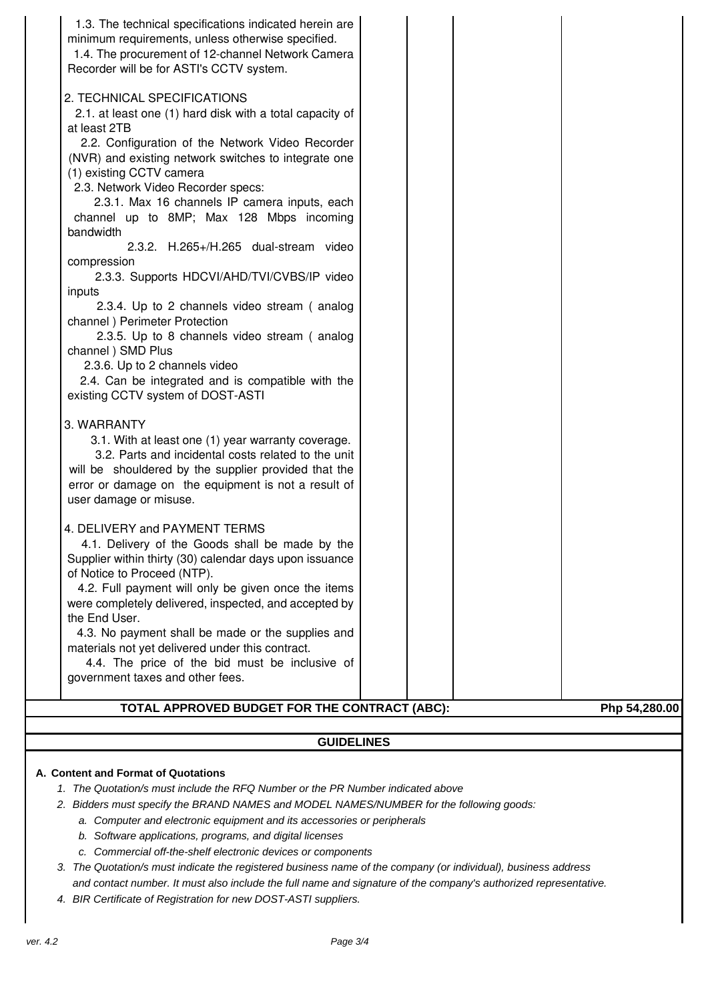| TOTAL APPROVED BUDGET FOR THE CONTRACT (ABC):<br><b>GUIDELINES</b>                                                                                                                                                                                                                                                                                                                                                                                                                                                                                           |               |
|--------------------------------------------------------------------------------------------------------------------------------------------------------------------------------------------------------------------------------------------------------------------------------------------------------------------------------------------------------------------------------------------------------------------------------------------------------------------------------------------------------------------------------------------------------------|---------------|
|                                                                                                                                                                                                                                                                                                                                                                                                                                                                                                                                                              |               |
| materials not yet delivered under this contract.<br>4.4. The price of the bid must be inclusive of<br>government taxes and other fees.                                                                                                                                                                                                                                                                                                                                                                                                                       | Php 54,280.00 |
| 4. DELIVERY and PAYMENT TERMS<br>4.1. Delivery of the Goods shall be made by the<br>Supplier within thirty (30) calendar days upon issuance<br>of Notice to Proceed (NTP).<br>4.2. Full payment will only be given once the items<br>were completely delivered, inspected, and accepted by<br>the End User.<br>4.3. No payment shall be made or the supplies and                                                                                                                                                                                             |               |
| 3. WARRANTY<br>3.1. With at least one (1) year warranty coverage.<br>3.2. Parts and incidental costs related to the unit<br>will be shouldered by the supplier provided that the<br>error or damage on the equipment is not a result of<br>user damage or misuse.                                                                                                                                                                                                                                                                                            |               |
| 2.3.4. Up to 2 channels video stream (analog<br>channel) Perimeter Protection<br>2.3.5. Up to 8 channels video stream (analog<br>channel ) SMD Plus<br>2.3.6. Up to 2 channels video<br>2.4. Can be integrated and is compatible with the<br>existing CCTV system of DOST-ASTI                                                                                                                                                                                                                                                                               |               |
| Recorder will be for ASTI's CCTV system.<br>2. TECHNICAL SPECIFICATIONS<br>2.1. at least one (1) hard disk with a total capacity of<br>at least 2TB<br>2.2. Configuration of the Network Video Recorder<br>(NVR) and existing network switches to integrate one<br>(1) existing CCTV camera<br>2.3. Network Video Recorder specs:<br>2.3.1. Max 16 channels IP camera inputs, each<br>channel up to 8MP; Max 128 Mbps incoming<br>bandwidth<br>2.3.2. H.265+/H.265 dual-stream video<br>compression<br>2.3.3. Supports HDCVI/AHD/TVI/CVBS/IP video<br>inputs |               |

- b. Software applications, programs, and digital licenses
- c. Commercial off-the-shelf electronic devices or components
- 3. The Quotation/s must indicate the registered business name of the company (or individual), business address and contact number. It must also include the full name and signature of the company's authorized representative.
- 4. BIR Certificate of Registration for new DOST-ASTI suppliers.